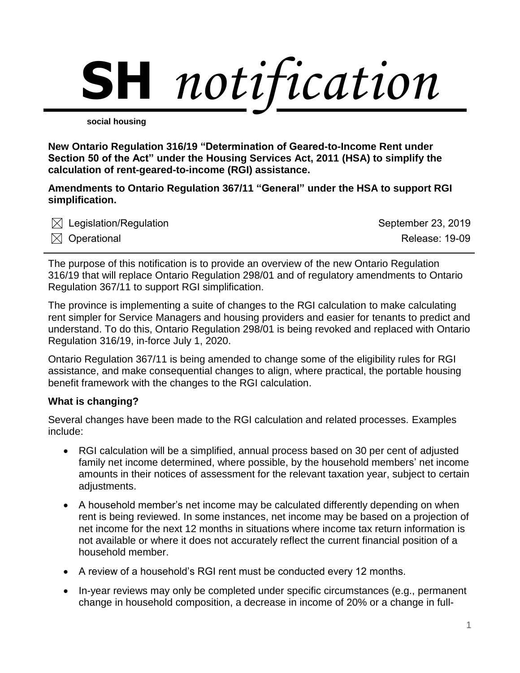# **SH** *notification*

**social housing**

**New Ontario Regulation 316/19 "Determination of Geared-to-Income Rent under Section 50 of the Act" under the Housing Services Act, 2011 (HSA) to simplify the calculation of rent-geared-to-income (RGI) assistance.**

**Amendments to Ontario Regulation 367/11 "General" under the HSA to support RGI simplification.**

| $\boxtimes$ Legislation/Regulation | September 23, 2019    |
|------------------------------------|-----------------------|
| $\boxtimes$ Operational            | <b>Release: 19-09</b> |

The purpose of this notification is to provide an overview of the new Ontario Regulation 316/19 that will replace Ontario Regulation 298/01 and of regulatory amendments to Ontario Regulation 367/11 to support RGI simplification.

The province is implementing a suite of changes to the RGI calculation to make calculating rent simpler for Service Managers and housing providers and easier for tenants to predict and understand. To do this, Ontario Regulation 298/01 is being revoked and replaced with Ontario Regulation 316/19, in-force July 1, 2020.

Ontario Regulation 367/11 is being amended to change some of the eligibility rules for RGI assistance, and make consequential changes to align, where practical, the portable housing benefit framework with the changes to the RGI calculation.

# **What is changing?**

Several changes have been made to the RGI calculation and related processes. Examples include:

- RGI calculation will be a simplified, annual process based on 30 per cent of adjusted family net income determined, where possible, by the household members' net income amounts in their notices of assessment for the relevant taxation year, subject to certain adjustments.
- A household member's net income may be calculated differently depending on when rent is being reviewed. In some instances, net income may be based on a projection of net income for the next 12 months in situations where income tax return information is not available or where it does not accurately reflect the current financial position of a household member.
- A review of a household's RGI rent must be conducted every 12 months.
- In-year reviews may only be completed under specific circumstances (e.g., permanent change in household composition, a decrease in income of 20% or a change in full-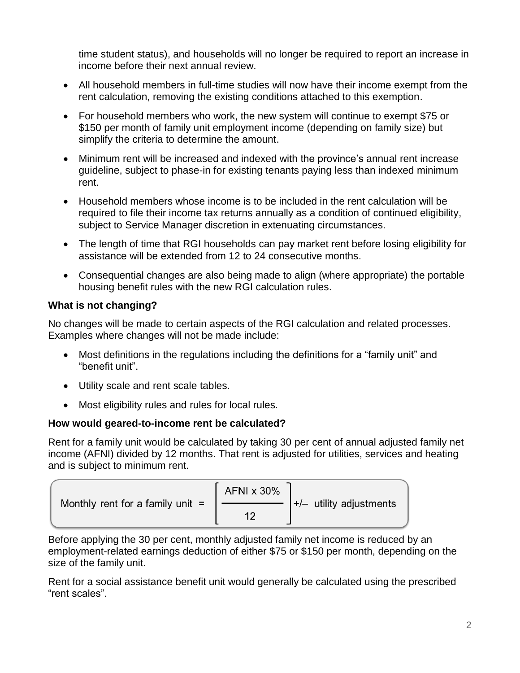time student status), and households will no longer be required to report an increase in income before their next annual review.

- All household members in full-time studies will now have their income exempt from the rent calculation, removing the existing conditions attached to this exemption.
- For household members who work, the new system will continue to exempt \$75 or \$150 per month of family unit employment income (depending on family size) but simplify the criteria to determine the amount.
- Minimum rent will be increased and indexed with the province's annual rent increase guideline, subject to phase-in for existing tenants paying less than indexed minimum rent.
- Household members whose income is to be included in the rent calculation will be required to file their income tax returns annually as a condition of continued eligibility, subject to Service Manager discretion in extenuating circumstances.
- The length of time that RGI households can pay market rent before losing eligibility for assistance will be extended from 12 to 24 consecutive months.
- Consequential changes are also being made to align (where appropriate) the portable housing benefit rules with the new RGI calculation rules.

# **What is not changing?**

No changes will be made to certain aspects of the RGI calculation and related processes. Examples where changes will not be made include:

- Most definitions in the regulations including the definitions for a "family unit" and "benefit unit".
- Utility scale and rent scale tables.
- Most eligibility rules and rules for local rules.

# **How would geared-to-income rent be calculated?**

Rent for a family unit would be calculated by taking 30 per cent of annual adjusted family net income (AFNI) divided by 12 months. That rent is adjusted for utilities, services and heating and is subject to minimum rent.

| Monthly rent for a family unit $=$ | AFNI x 30%<br>$\left  + \right $ utility adjustments |
|------------------------------------|------------------------------------------------------|
|------------------------------------|------------------------------------------------------|

Before applying the 30 per cent, monthly adjusted family net income is reduced by an employment-related earnings deduction of either \$75 or \$150 per month, depending on the size of the family unit.

Rent for a social assistance benefit unit would generally be calculated using the prescribed "rent scales".